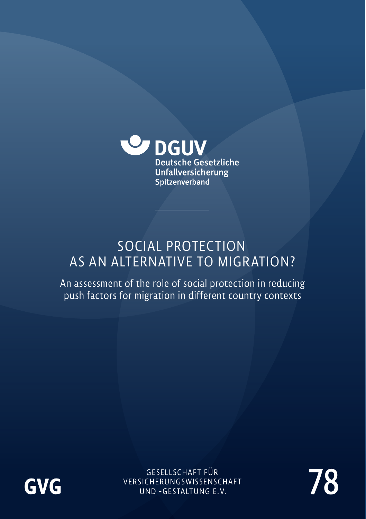

# SOCIAL PROTECTION AS AN ALTERNATIVE TO MIGRATION?

An assessment of the role of social protection in reducing push factors for migration in different country contexts



UND -GESTALTUNG E.V. GESELLSCHAFT FÜR VERSICHERUNGSWISSENSCHAFT

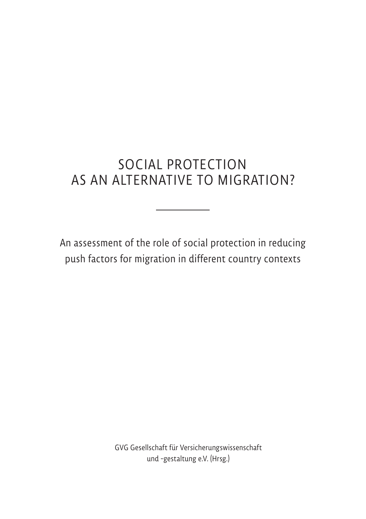# SOCIAL PROTECTION AS AN ALTERNATIVE TO MIGRATION?

An assessment of the role of social protection in reducing push factors for migration in different country contexts

> GVG Gesellschaft für Versicherungswissenschaft und -gestaltung e.V. (Hrsg.)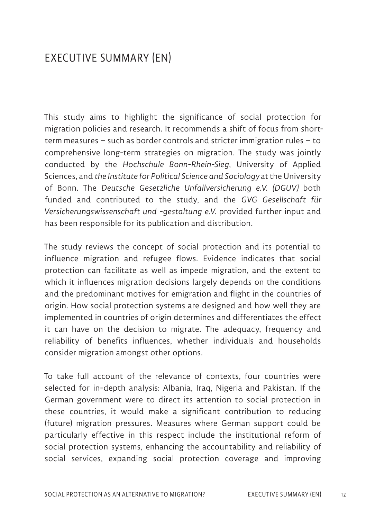# EXECUTIVE SUMMARY (EN)

This study aims to highlight the significance of social protection for migration policies and research. It recommends a shift of focus from shortterm measures – such as border controls and stricter immigration rules – to comprehensive long-term strategies on migration. The study was jointly conducted by the *Hochschule Bonn-Rhein-Sieg*, University of Applied Sciences, and *the Institute for Political Science and Sociology* at the University of Bonn. The *Deutsche Gesetzliche Unfallversicherung e.V. (DGUV)* both funded and contributed to the study, and the *GVG Gesellschaft für Versicherungswissenschaft und -gestaltung e.V.* provided further input and has been responsible for its publication and distribution.

The study reviews the concept of social protection and its potential to influence migration and refugee flows. Evidence indicates that social protection can facilitate as well as impede migration, and the extent to which it influences migration decisions largely depends on the conditions and the predominant motives for emigration and flight in the countries of origin. How social protection systems are designed and how well they are implemented in countries of origin determines and differentiates the effect it can have on the decision to migrate. The adequacy, frequency and reliability of benefits influences, whether individuals and households consider migration amongst other options.

To take full account of the relevance of contexts, four countries were selected for in-depth analysis: Albania, Iraq, Nigeria and Pakistan. If the German government were to direct its attention to social protection in these countries, it would make a significant contribution to reducing (future) migration pressures. Measures where German support could be particularly effective in this respect include the institutional reform of social protection systems, enhancing the accountability and reliability of social services, expanding social protection coverage and improving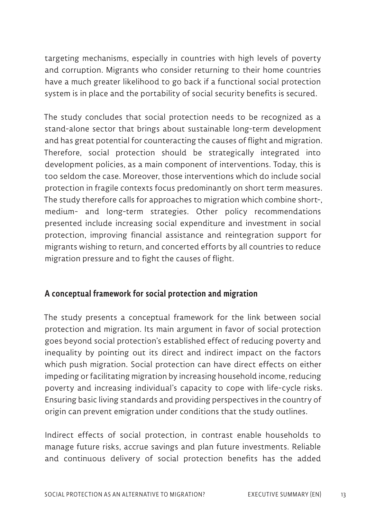targeting mechanisms, especially in countries with high levels of poverty and corruption. Migrants who consider returning to their home countries have a much greater likelihood to go back if a functional social protection system is in place and the portability of social security benefits is secured.

The study concludes that social protection needs to be recognized as a stand-alone sector that brings about sustainable long-term development and has great potential for counteracting the causes of flight and migration. Therefore, social protection should be strategically integrated into development policies, as a main component of interventions. Today, this is too seldom the case. Moreover, those interventions which do include social protection in fragile contexts focus predominantly on short term measures. The study therefore calls for approaches to migration which combine short-, medium- and long-term strategies. Other policy recommendations presented include increasing social expenditure and investment in social protection, improving financial assistance and reintegration support for migrants wishing to return, and concerted efforts by all countries to reduce migration pressure and to fight the causes of flight.

### A conceptual framework for social protection and migration

The study presents a conceptual framework for the link between social protection and migration. Its main argument in favor of social protection goes beyond social protection's established effect of reducing poverty and inequality by pointing out its direct and indirect impact on the factors which push migration. Social protection can have direct effects on either impeding or facilitating migration by increasing household income, reducing poverty and increasing individual's capacity to cope with life-cycle risks. Ensuring basic living standards and providing perspectives in the country of origin can prevent emigration under conditions that the study outlines.

Indirect effects of social protection, in contrast enable households to manage future risks, accrue savings and plan future investments. Reliable and continuous delivery of social protection benefits has the added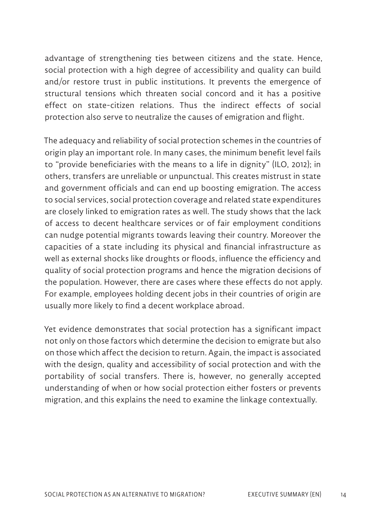advantage of strengthening ties between citizens and the state. Hence, social protection with a high degree of accessibility and quality can build and/or restore trust in public institutions. It prevents the emergence of structural tensions which threaten social concord and it has a positive effect on state-citizen relations. Thus the indirect effects of social protection also serve to neutralize the causes of emigration and flight.

The adequacy and reliability of social protection schemes in the countries of origin play an important role. In many cases, the minimum benefit level fails to "provide beneficiaries with the means to a life in dignity" (ILO, 2012); in others, transfers are unreliable or unpunctual. This creates mistrust in state and government officials and can end up boosting emigration. The access to social services, social protection coverage and related state expenditures are closely linked to emigration rates as well. The study shows that the lack of access to decent healthcare services or of fair employment conditions can nudge potential migrants towards leaving their country. Moreover the capacities of a state including its physical and financial infrastructure as well as external shocks like droughts or floods, influence the efficiency and quality of social protection programs and hence the migration decisions of the population. However, there are cases where these effects do not apply. For example, employees holding decent jobs in their countries of origin are usually more likely to find a decent workplace abroad.

Yet evidence demonstrates that social protection has a significant impact not only on those factors which determine the decision to emigrate but also on those which affect the decision to return. Again, the impact is associated with the design, quality and accessibility of social protection and with the portability of social transfers. There is, however, no generally accepted understanding of when or how social protection either fosters or prevents migration, and this explains the need to examine the linkage contextually.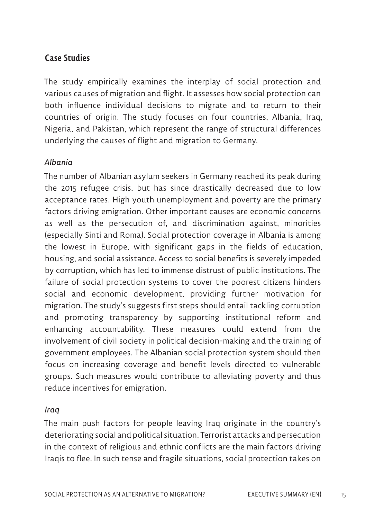## Case Studies

The study empirically examines the interplay of social protection and various causes of migration and flight. It assesses how social protection can both influence individual decisions to migrate and to return to their countries of origin. The study focuses on four countries, Albania, Iraq, Nigeria, and Pakistan, which represent the range of structural differences underlying the causes of flight and migration to Germany.

#### *Albania*

The number of Albanian asylum seekers in Germany reached its peak during the 2015 refugee crisis, but has since drastically decreased due to low acceptance rates. High youth unemployment and poverty are the primary factors driving emigration. Other important causes are economic concerns as well as the persecution of, and discrimination against, minorities (especially Sinti and Roma). Social protection coverage in Albania is among the lowest in Europe, with significant gaps in the fields of education, housing, and social assistance. Access to social benefits is severely impeded by corruption, which has led to immense distrust of public institutions. The failure of social protection systems to cover the poorest citizens hinders social and economic development, providing further motivation for migration. The study's suggests first steps should entail tackling corruption and promoting transparency by supporting institutional reform and enhancing accountability. These measures could extend from the involvement of civil society in political decision-making and the training of government employees. The Albanian social protection system should then focus on increasing coverage and benefit levels directed to vulnerable groups. Such measures would contribute to alleviating poverty and thus reduce incentives for emigration.

#### *Iraq*

The main push factors for people leaving Iraq originate in the country's deteriorating social and political situation. Terrorist attacks and persecution in the context of religious and ethnic conflicts are the main factors driving Iraqis to flee. In such tense and fragile situations, social protection takes on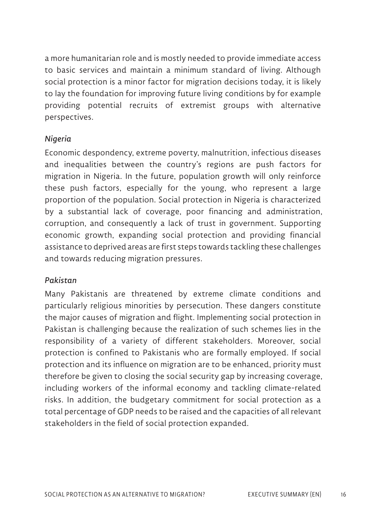a more humanitarian role and is mostly needed to provide immediate access to basic services and maintain a minimum standard of living. Although social protection is a minor factor for migration decisions today, it is likely to lay the foundation for improving future living conditions by for example providing potential recruits of extremist groups with alternative perspectives.

#### *Nigeria*

Economic despondency, extreme poverty, malnutrition, infectious diseases and inequalities between the country's regions are push factors for migration in Nigeria. In the future, population growth will only reinforce these push factors, especially for the young, who represent a large proportion of the population. Social protection in Nigeria is characterized by a substantial lack of coverage, poor financing and administration, corruption, and consequently a lack of trust in government. Supporting economic growth, expanding social protection and providing financial assistance to deprived areas are first steps towards tackling these challenges and towards reducing migration pressures.

#### *Pakistan*

Many Pakistanis are threatened by extreme climate conditions and particularly religious minorities by persecution. These dangers constitute the major causes of migration and flight. Implementing social protection in Pakistan is challenging because the realization of such schemes lies in the responsibility of a variety of different stakeholders. Moreover, social protection is confined to Pakistanis who are formally employed. If social protection and its influence on migration are to be enhanced, priority must therefore be given to closing the social security gap by increasing coverage, including workers of the informal economy and tackling climate-related risks. In addition, the budgetary commitment for social protection as a total percentage of GDP needs to be raised and the capacities of all relevant stakeholders in the field of social protection expanded.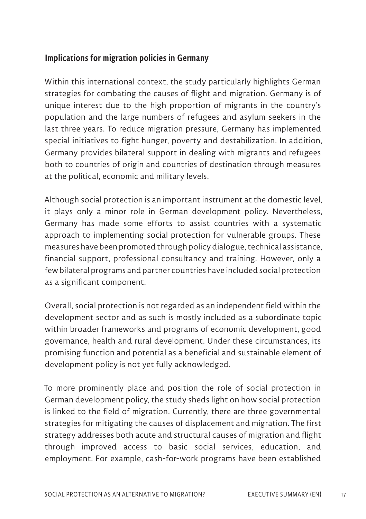### Implications for migration policies in Germany

Within this international context, the study particularly highlights German strategies for combating the causes of flight and migration. Germany is of unique interest due to the high proportion of migrants in the country's population and the large numbers of refugees and asylum seekers in the last three years. To reduce migration pressure, Germany has implemented special initiatives to fight hunger, poverty and destabilization. In addition, Germany provides bilateral support in dealing with migrants and refugees both to countries of origin and countries of destination through measures at the political, economic and military levels.

Although social protection is an important instrument at the domestic level, it plays only a minor role in German development policy. Nevertheless, Germany has made some efforts to assist countries with a systematic approach to implementing social protection for vulnerable groups. These measures have been promoted through policy dialogue, technical assistance, financial support, professional consultancy and training. However, only a few bilateral programs and partner countries have included social protection as a significant component.

Overall, social protection is not regarded as an independent field within the development sector and as such is mostly included as a subordinate topic within broader frameworks and programs of economic development, good governance, health and rural development. Under these circumstances, its promising function and potential as a beneficial and sustainable element of development policy is not yet fully acknowledged.

To more prominently place and position the role of social protection in German development policy, the study sheds light on how social protection is linked to the field of migration. Currently, there are three governmental strategies for mitigating the causes of displacement and migration. The first strategy addresses both acute and structural causes of migration and flight through improved access to basic social services, education, and employment. For example, cash-for-work programs have been established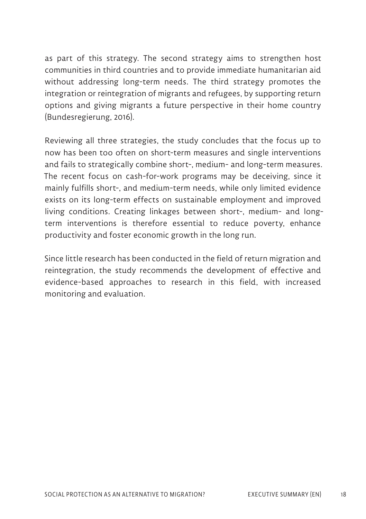as part of this strategy. The second strategy aims to strengthen host communities in third countries and to provide immediate humanitarian aid without addressing long-term needs. The third strategy promotes the integration or reintegration of migrants and refugees, by supporting return options and giving migrants a future perspective in their home country (Bundesregierung, 2016).

Reviewing all three strategies, the study concludes that the focus up to now has been too often on short-term measures and single interventions and fails to strategically combine short-, medium- and long-term measures. The recent focus on cash-for-work programs may be deceiving, since it mainly fulfills short-, and medium-term needs, while only limited evidence exists on its long-term effects on sustainable employment and improved living conditions. Creating linkages between short-, medium- and longterm interventions is therefore essential to reduce poverty, enhance productivity and foster economic growth in the long run.

Since little research has been conducted in the field of return migration and reintegration, the study recommends the development of effective and evidence-based approaches to research in this field, with increased monitoring and evaluation.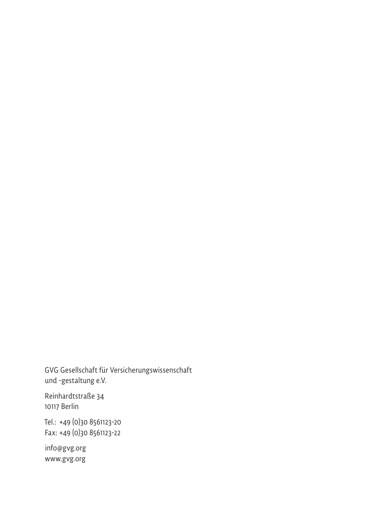GVG Gesellschaft für Versicherungswissenschaft und -gestaltung e.V.

Reinhardtstraße 34 10117 Berlin

Tel.: +49 (0)30 8561123-20 Fax: +49 (0)30 8561123-22

info@gvg.org www.gvg.org